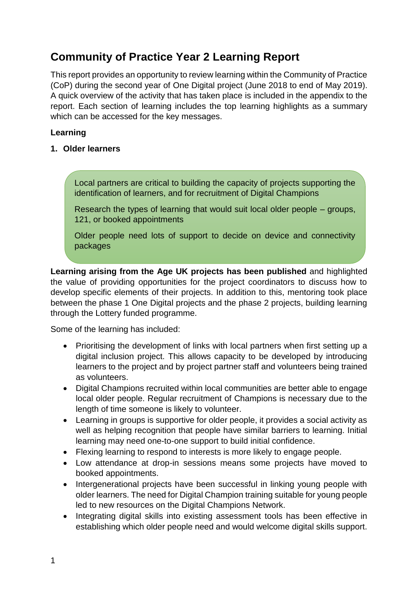## **Community of Practice Year 2 Learning Report**

This report provides an opportunity to review learning within the Community of Practice (CoP) during the second year of One Digital project (June 2018 to end of May 2019). A quick overview of the activity that has taken place is included in the appendix to the report. Each section of learning includes the top learning highlights as a summary which can be accessed for the key messages.

## **Learning**

## **1. Older learners**

Local partners are critical to building the capacity of projects supporting the identification of learners, and for recruitment of Digital Champions

Research the types of learning that would suit local older people – groups, 121, or booked appointments

Older people need lots of support to decide on device and connectivity packages

**Learning arising from the Age UK projects has been published** and highlighted the value of providing opportunities for the project coordinators to discuss how to develop specific elements of their projects. In addition to this, mentoring took place between the phase 1 One Digital projects and the phase 2 projects, building learning through the Lottery funded programme.

Some of the learning has included:

- Prioritising the development of links with local partners when first setting up a digital inclusion project. This allows capacity to be developed by introducing learners to the project and by project partner staff and volunteers being trained as volunteers.
- Digital Champions recruited within local communities are better able to engage local older people. Regular recruitment of Champions is necessary due to the length of time someone is likely to volunteer.
- Learning in groups is supportive for older people, it provides a social activity as well as helping recognition that people have similar barriers to learning. Initial learning may need one-to-one support to build initial confidence.
- Flexing learning to respond to interests is more likely to engage people.
- Low attendance at drop-in sessions means some projects have moved to booked appointments.
- Intergenerational projects have been successful in linking young people with older learners. The need for Digital Champion training suitable for young people led to new resources on the Digital Champions Network.
- Integrating digital skills into existing assessment tools has been effective in establishing which older people need and would welcome digital skills support.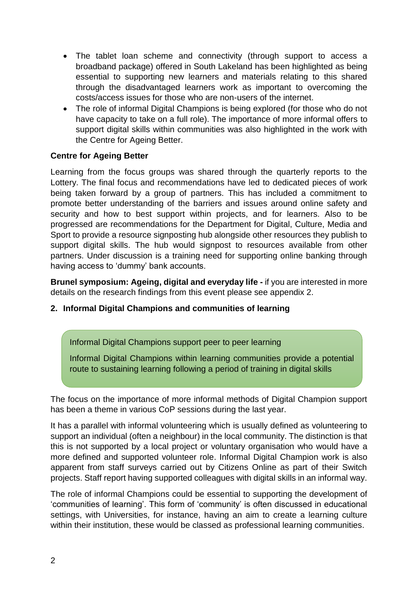- The tablet loan scheme and connectivity (through support to access a broadband package) offered in South Lakeland has been highlighted as being essential to supporting new learners and materials relating to this shared through the disadvantaged learners work as important to overcoming the costs/access issues for those who are non-users of the internet.
- The role of informal Digital Champions is being explored (for those who do not have capacity to take on a full role). The importance of more informal offers to support digital skills within communities was also highlighted in the work with the Centre for Ageing Better.

#### **Centre for Ageing Better**

Learning from the focus groups was shared through the quarterly reports to the Lottery. The final focus and recommendations have led to dedicated pieces of work being taken forward by a group of partners. This has included a commitment to promote better understanding of the barriers and issues around online safety and security and how to best support within projects, and for learners. Also to be progressed are recommendations for the Department for Digital, Culture, Media and Sport to provide a resource signposting hub alongside other resources they publish to support digital skills. The hub would signpost to resources available from other partners. Under discussion is a training need for supporting online banking through having access to 'dummy' bank accounts.

**Brunel symposium: Ageing, digital and everyday life -** if you are interested in more details on the research findings from this event please see appendix 2.

#### **2. Informal Digital Champions and communities of learning**

Informal Digital Champions support peer to peer learning

Informal Digital Champions within learning communities provide a potential route to sustaining learning following a period of training in digital skills

The focus on the importance of more informal methods of Digital Champion support has been a theme in various CoP sessions during the last year.

It has a parallel with informal volunteering which is usually defined as volunteering to support an individual (often a neighbour) in the local community. The distinction is that this is not supported by a local project or voluntary organisation who would have a more defined and supported volunteer role. Informal Digital Champion work is also apparent from staff surveys carried out by Citizens Online as part of their Switch projects. Staff report having supported colleagues with digital skills in an informal way.

The role of informal Champions could be essential to supporting the development of 'communities of learning'. This form of 'community' is often discussed in educational settings, with Universities, for instance, having an aim to create a learning culture within their institution, these would be classed as professional learning communities.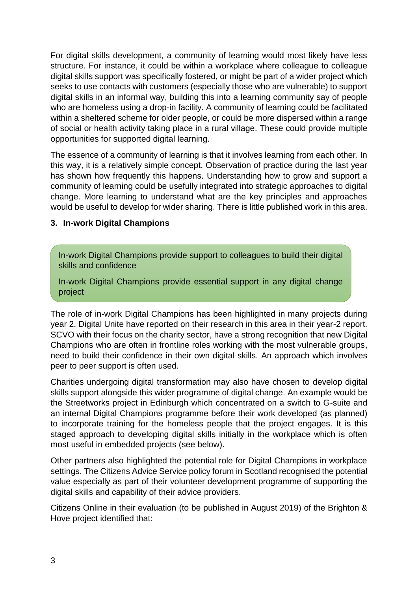For digital skills development, a community of learning would most likely have less structure. For instance, it could be within a workplace where colleague to colleague digital skills support was specifically fostered, or might be part of a wider project which seeks to use contacts with customers (especially those who are vulnerable) to support digital skills in an informal way, building this into a learning community say of people who are homeless using a drop-in facility. A community of learning could be facilitated within a sheltered scheme for older people, or could be more dispersed within a range of social or health activity taking place in a rural village. These could provide multiple opportunities for supported digital learning.

The essence of a community of learning is that it involves learning from each other. In this way, it is a relatively simple concept. Observation of practice during the last year has shown how frequently this happens. Understanding how to grow and support a community of learning could be usefully integrated into strategic approaches to digital change. More learning to understand what are the key principles and approaches would be useful to develop for wider sharing. There is little published work in this area.

#### **3. In-work Digital Champions**

In-work Digital Champions provide support to colleagues to build their digital skills and confidence

In-work Digital Champions provide essential support in any digital change project

The role of in-work Digital Champions has been highlighted in many projects during year 2. Digital Unite have reported on their research in this area in their year-2 report. SCVO with their focus on the charity sector, have a strong recognition that new Digital Champions who are often in frontline roles working with the most vulnerable groups, need to build their confidence in their own digital skills. An approach which involves peer to peer support is often used.

Charities undergoing digital transformation may also have chosen to develop digital skills support alongside this wider programme of digital change. An example would be the Streetworks project in Edinburgh which concentrated on a switch to G-suite and an internal Digital Champions programme before their work developed (as planned) to incorporate training for the homeless people that the project engages. It is this staged approach to developing digital skills initially in the workplace which is often most useful in embedded projects (see below).

Other partners also highlighted the potential role for Digital Champions in workplace settings. The Citizens Advice Service policy forum in Scotland recognised the potential value especially as part of their volunteer development programme of supporting the digital skills and capability of their advice providers.

Citizens Online in their evaluation (to be published in August 2019) of the Brighton & Hove project identified that: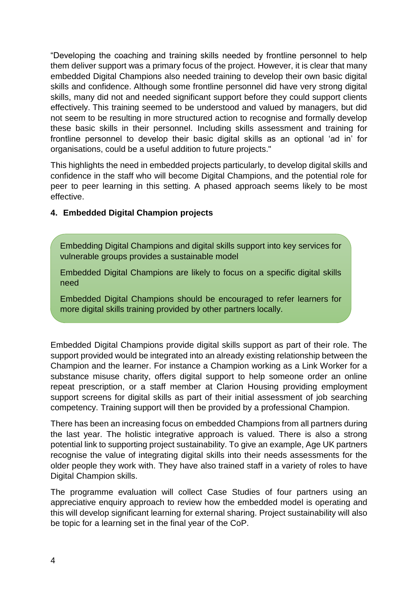"Developing the coaching and training skills needed by frontline personnel to help them deliver support was a primary focus of the project. However, it is clear that many embedded Digital Champions also needed training to develop their own basic digital skills and confidence. Although some frontline personnel did have very strong digital skills, many did not and needed significant support before they could support clients effectively. This training seemed to be understood and valued by managers, but did not seem to be resulting in more structured action to recognise and formally develop these basic skills in their personnel. Including skills assessment and training for frontline personnel to develop their basic digital skills as an optional 'ad in' for organisations, could be a useful addition to future projects."

This highlights the need in embedded projects particularly, to develop digital skills and confidence in the staff who will become Digital Champions, and the potential role for peer to peer learning in this setting. A phased approach seems likely to be most effective.

#### **4. Embedded Digital Champion projects**

Embedding Digital Champions and digital skills support into key services for vulnerable groups provides a sustainable model

Embedded Digital Champions are likely to focus on a specific digital skills need

Embedded Digital Champions should be encouraged to refer learners for more digital skills training provided by other partners locally.

Embedded Digital Champions provide digital skills support as part of their role. The support provided would be integrated into an already existing relationship between the Champion and the learner. For instance a Champion working as a Link Worker for a substance misuse charity, offers digital support to help someone order an online repeat prescription, or a staff member at Clarion Housing providing employment support screens for digital skills as part of their initial assessment of job searching competency. Training support will then be provided by a professional Champion.

There has been an increasing focus on embedded Champions from all partners during the last year. The holistic integrative approach is valued. There is also a strong potential link to supporting project sustainability. To give an example, Age UK partners recognise the value of integrating digital skills into their needs assessments for the older people they work with. They have also trained staff in a variety of roles to have Digital Champion skills.

The programme evaluation will collect Case Studies of four partners using an appreciative enquiry approach to review how the embedded model is operating and this will develop significant learning for external sharing. Project sustainability will also be topic for a learning set in the final year of the CoP.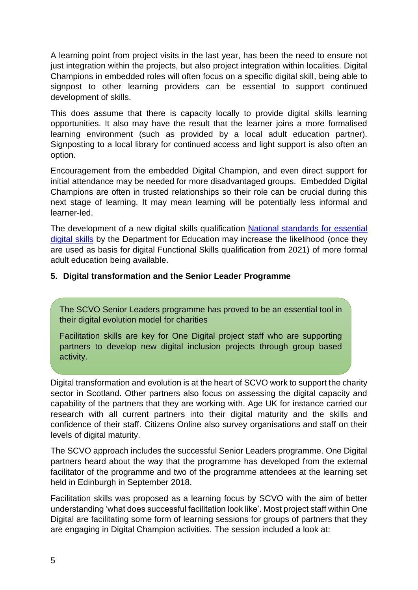A learning point from project visits in the last year, has been the need to ensure not just integration within the projects, but also project integration within localities. Digital Champions in embedded roles will often focus on a specific digital skill, being able to signpost to other learning providers can be essential to support continued development of skills.

This does assume that there is capacity locally to provide digital skills learning opportunities. It also may have the result that the learner joins a more formalised learning environment (such as provided by a local adult education partner). Signposting to a local library for continued access and light support is also often an option.

Encouragement from the embedded Digital Champion, and even direct support for initial attendance may be needed for more disadvantaged groups. Embedded Digital Champions are often in trusted relationships so their role can be crucial during this next stage of learning. It may mean learning will be potentially less informal and learner-led.

The development of a new digital skills qualification [National standards for essential](https://www.gov.uk/government/publications/national-standards-for-essential-digital-skills)  [digital skills](https://www.gov.uk/government/publications/national-standards-for-essential-digital-skills) by the Department for Education may increase the likelihood (once they are used as basis for digital Functional Skills qualification from 2021) of more formal adult education being available.

#### **5. Digital transformation and the Senior Leader Programme**

The SCVO Senior Leaders programme has proved to be an essential tool in their digital evolution model for charities

Facilitation skills are key for One Digital project staff who are supporting partners to develop new digital inclusion projects through group based activity.

Digital transformation and evolution is at the heart of SCVO work to support the charity sector in Scotland. Other partners also focus on assessing the digital capacity and capability of the partners that they are working with. Age UK for instance carried our research with all current partners into their digital maturity and the skills and confidence of their staff. Citizens Online also survey organisations and staff on their levels of digital maturity.

The SCVO approach includes the successful Senior Leaders programme. One Digital partners heard about the way that the programme has developed from the external facilitator of the programme and two of the programme attendees at the learning set held in Edinburgh in September 2018.

Facilitation skills was proposed as a learning focus by SCVO with the aim of better understanding 'what does successful facilitation look like'. Most project staff within One Digital are facilitating some form of learning sessions for groups of partners that they are engaging in Digital Champion activities. The session included a look at: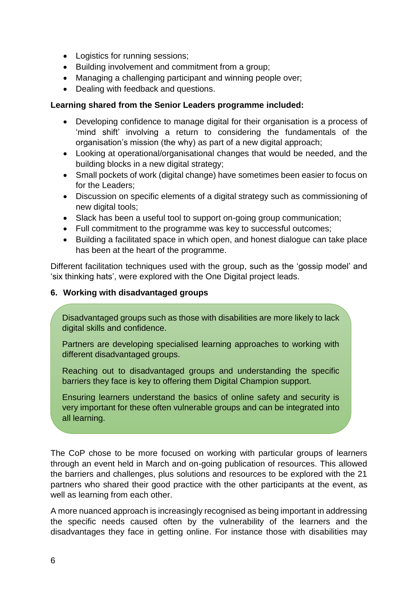- Logistics for running sessions;
- Building involvement and commitment from a group;
- Managing a challenging participant and winning people over;
- Dealing with feedback and questions.

#### **Learning shared from the Senior Leaders programme included:**

- Developing confidence to manage digital for their organisation is a process of 'mind shift' involving a return to considering the fundamentals of the organisation's mission (the why) as part of a new digital approach;
- Looking at operational/organisational changes that would be needed, and the building blocks in a new digital strategy;
- Small pockets of work (digital change) have sometimes been easier to focus on for the Leaders;
- Discussion on specific elements of a digital strategy such as commissioning of new digital tools;
- Slack has been a useful tool to support on-going group communication;
- Full commitment to the programme was key to successful outcomes;
- Building a facilitated space in which open, and honest dialogue can take place has been at the heart of the programme.

Different facilitation techniques used with the group, such as the 'gossip model' and 'six thinking hats', were explored with the One Digital project leads.

#### **6. Working with disadvantaged groups**

Disadvantaged groups such as those with disabilities are more likely to lack digital skills and confidence.

Partners are developing specialised learning approaches to working with different disadvantaged groups.

Reaching out to disadvantaged groups and understanding the specific barriers they face is key to offering them Digital Champion support.

Ensuring learners understand the basics of online safety and security is very important for these often vulnerable groups and can be integrated into all learning.

The CoP chose to be more focused on working with particular groups of learners through an event held in March and on-going publication of resources. This allowed the barriers and challenges, plus solutions and resources to be explored with the 21 partners who shared their good practice with the other participants at the event, as well as learning from each other.

A more nuanced approach is increasingly recognised as being important in addressing the specific needs caused often by the vulnerability of the learners and the disadvantages they face in getting online. For instance those with disabilities may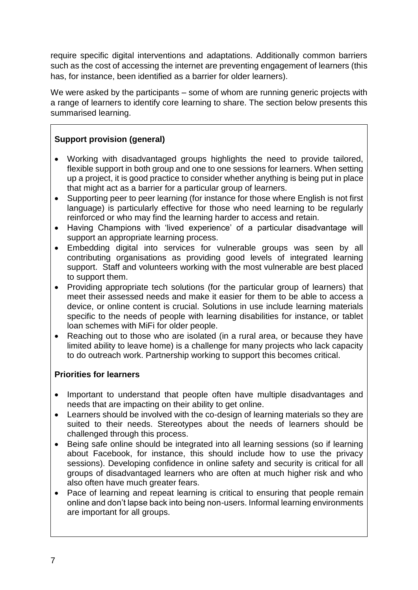require specific digital interventions and adaptations. Additionally common barriers such as the cost of accessing the internet are preventing engagement of learners (this has, for instance, been identified as a barrier for older learners).

We were asked by the participants – some of whom are running generic projects with a range of learners to identify core learning to share. The section below presents this summarised learning.

## **Support provision (general)**

- Working with disadvantaged groups highlights the need to provide tailored, flexible support in both group and one to one sessions for learners. When setting up a project, it is good practice to consider whether anything is being put in place that might act as a barrier for a particular group of learners.
- Supporting peer to peer learning (for instance for those where English is not first language) is particularly effective for those who need learning to be regularly reinforced or who may find the learning harder to access and retain.
- Having Champions with 'lived experience' of a particular disadvantage will support an appropriate learning process.
- Embedding digital into services for vulnerable groups was seen by all contributing organisations as providing good levels of integrated learning support. Staff and volunteers working with the most vulnerable are best placed to support them.
- Providing appropriate tech solutions (for the particular group of learners) that meet their assessed needs and make it easier for them to be able to access a device, or online content is crucial. Solutions in use include learning materials specific to the needs of people with learning disabilities for instance, or tablet loan schemes with MiFi for older people.
- Reaching out to those who are isolated (in a rural area, or because they have limited ability to leave home) is a challenge for many projects who lack capacity to do outreach work. Partnership working to support this becomes critical.

## **Priorities for learners**

- Important to understand that people often have multiple disadvantages and needs that are impacting on their ability to get online.
- Learners should be involved with the co-design of learning materials so they are suited to their needs. Stereotypes about the needs of learners should be challenged through this process.
- Being safe online should be integrated into all learning sessions (so if learning about Facebook, for instance, this should include how to use the privacy sessions). Developing confidence in online safety and security is critical for all groups of disadvantaged learners who are often at much higher risk and who also often have much greater fears.
- Pace of learning and repeat learning is critical to ensuring that people remain online and don't lapse back into being non-users. Informal learning environments are important for all groups.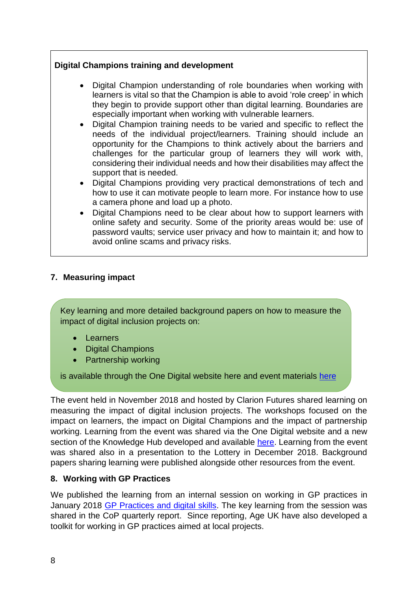## **Digital Champions training and development**

- Digital Champion understanding of role boundaries when working with learners is vital so that the Champion is able to avoid 'role creep' in which they begin to provide support other than digital learning. Boundaries are especially important when working with vulnerable learners.
- Digital Champion training needs to be varied and specific to reflect the needs of the individual project/learners. Training should include an opportunity for the Champions to think actively about the barriers and challenges for the particular group of learners they will work with, considering their individual needs and how their disabilities may affect the support that is needed.
- Digital Champions providing very practical demonstrations of tech and how to use it can motivate people to learn more. For instance how to use a camera phone and load up a photo.
- Digital Champions need to be clear about how to support learners with online safety and security. Some of the priority areas would be: use of password vaults; service user privacy and how to maintain it; and how to avoid online scams and privacy risks.

#### **7. Measuring impact**

Key learning and more detailed background papers on how to measure the impact of digital inclusion projects on:

- Learners
- Digital Champions
- Partnership working

is available through the One Digital website [here](https://onedigitaluk.com/knowledge-hub/developing-a-digital-champion-project/how-to-measure-the-impact-of-a-digital-champion-project/) and event materials [here](https://onedigitaluk.com/our-activity/events/demonstrating-the-impact-of-digital-inclusion/)

The event held in November 2018 and hosted by Clarion Futures shared learning on measuring the impact of digital inclusion projects. The workshops focused on the impact on learners, the impact on Digital Champions and the impact of partnership working. Learning from the event was shared via the One Digital website and a new section of the Knowledge Hub developed and available [here.](https://onedigitaluk.com/knowledge-hub/developing-a-digital-champion-project/how-to-measure-the-impact-of-a-digital-champion-project/) Learning from the event was shared also in a presentation to the Lottery in December 2018. Background papers sharing learning were published alongside other resources from the event.

#### **8. Working with GP Practices**

We published the learning from an internal session on working in GP practices in January 2018 [GP Practices and digital skills.](https://onedigitaluk.com/latest-news/2019/01/31/gp-practices-and-digital-skills/) The key learning from the session was shared in the CoP quarterly report. Since reporting, Age UK have also developed a toolkit for working in GP practices aimed at local projects.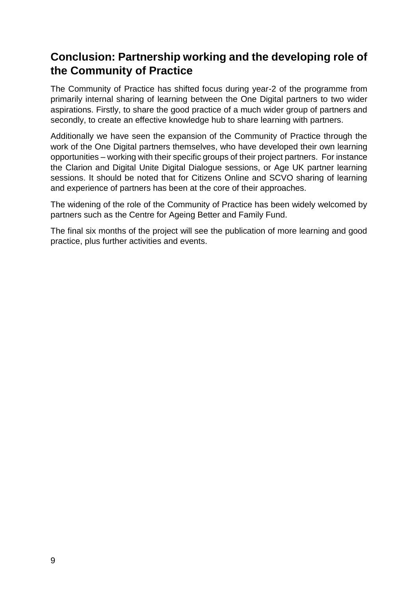## **Conclusion: Partnership working and the developing role of the Community of Practice**

The Community of Practice has shifted focus during year-2 of the programme from primarily internal sharing of learning between the One Digital partners to two wider aspirations. Firstly, to share the good practice of a much wider group of partners and secondly, to create an effective knowledge hub to share learning with partners.

Additionally we have seen the expansion of the Community of Practice through the work of the One Digital partners themselves, who have developed their own learning opportunities – working with their specific groups of their project partners. For instance the Clarion and Digital Unite Digital Dialogue sessions, or Age UK partner learning sessions. It should be noted that for Citizens Online and SCVO sharing of learning and experience of partners has been at the core of their approaches.

The widening of the role of the Community of Practice has been widely welcomed by partners such as the Centre for Ageing Better and Family Fund.

The final six months of the project will see the publication of more learning and good practice, plus further activities and events.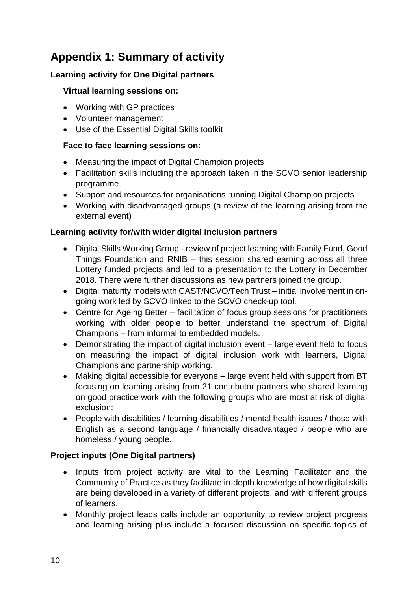# **Appendix 1: Summary of activity**

## **Learning activity for One Digital partners**

## **Virtual learning sessions on:**

- Working with GP practices
- Volunteer management
- Use of the Essential Digital Skills toolkit

## **Face to face learning sessions on:**

- Measuring the impact of Digital Champion projects
- Facilitation skills including the approach taken in the SCVO senior leadership programme
- Support and resources for organisations running Digital Champion projects
- Working with disadvantaged groups (a review of the learning arising from the external event)

## **Learning activity for/with wider digital inclusion partners**

- Digital Skills Working Group review of project learning with Family Fund, Good Things Foundation and RNIB – this session shared earning across all three Lottery funded projects and led to a presentation to the Lottery in December 2018. There were further discussions as new partners joined the group.
- Digital maturity models with CAST/NCVO/Tech Trust initial involvement in ongoing work led by SCVO linked to the SCVO check-up tool.
- Centre for Ageing Better facilitation of focus group sessions for practitioners working with older people to better understand the spectrum of Digital Champions – from informal to embedded models.
- Demonstrating the impact of digital inclusion event large event held to focus on measuring the impact of digital inclusion work with learners, Digital Champions and partnership working.
- Making digital accessible for everyone large event held with support from BT focusing on learning arising from 21 contributor partners who shared learning on good practice work with the following groups who are most at risk of digital exclusion:
- People with disabilities / learning disabilities / mental health issues / those with English as a second language / financially disadvantaged / people who are homeless / young people.

## **Project inputs (One Digital partners)**

- Inputs from project activity are vital to the Learning Facilitator and the Community of Practice as they facilitate in-depth knowledge of how digital skills are being developed in a variety of different projects, and with different groups of learners.
- Monthly project leads calls include an opportunity to review project progress and learning arising plus include a focused discussion on specific topics of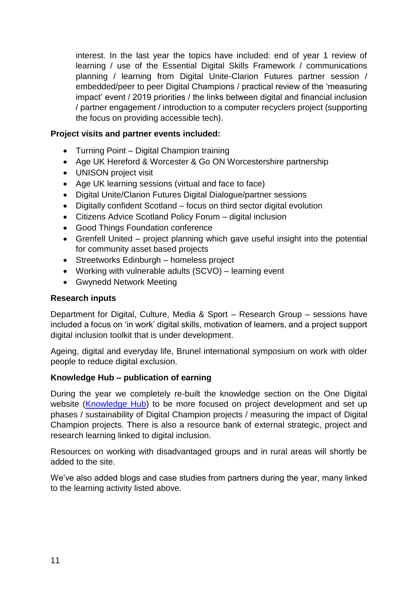interest. In the last year the topics have included: end of year 1 review of learning / use of the Essential Digital Skills Framework / communications planning / learning from Digital Unite-Clarion Futures partner session / embedded/peer to peer Digital Champions / practical review of the 'measuring impact' event / 2019 priorities / the links between digital and financial inclusion / partner engagement / introduction to a computer recyclers project (supporting the focus on providing accessible tech).

#### **Project visits and partner events included:**

- Turning Point Digital Champion training
- Age UK Hereford & Worcester & Go ON Worcestershire partnership
- UNISON project visit
- Age UK learning sessions (virtual and face to face)
- Digital Unite/Clarion Futures Digital Dialogue/partner sessions
- Digitally confident Scotland focus on third sector digital evolution
- Citizens Advice Scotland Policy Forum digital inclusion
- Good Things Foundation conference
- Grenfell United project planning which gave useful insight into the potential for community asset based projects
- Streetworks Edinburgh homeless project
- Working with vulnerable adults (SCVO) learning event
- Gwynedd Network Meeting

#### **Research inputs**

Department for Digital, Culture, Media & Sport – Research Group – sessions have included a focus on 'in work' digital skills, motivation of learners, and a project support digital inclusion toolkit that is under development.

Ageing, digital and everyday life, Brunel international symposium on work with older people to reduce digital exclusion.

#### **Knowledge Hub – publication of earning**

During the year we completely re-built the knowledge section on the One Digital website [\(Knowledge Hub\)](https://onedigitaluk.com/knowledge-hub/) to be more focused on project development and set up phases / sustainability of Digital Champion projects / measuring the impact of Digital Champion projects. There is also a resource bank of external strategic, project and research learning linked to digital inclusion.

Resources on working with disadvantaged groups and in rural areas will shortly be added to the site.

We've also added blogs and case studies from partners during the year, many linked to the learning activity listed above.